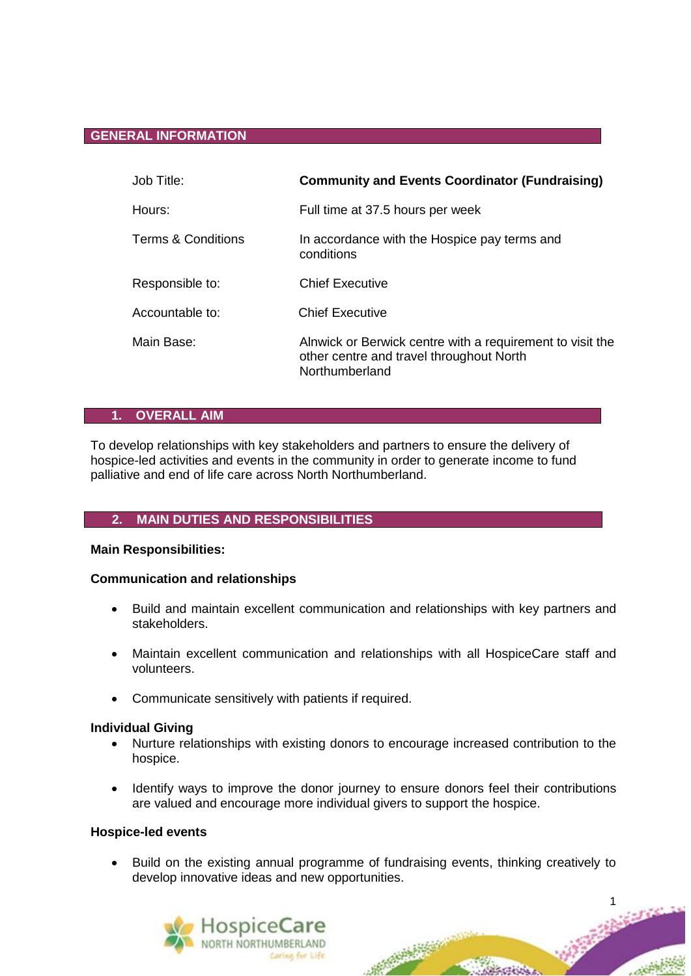## **GENERAL INFORMATION**

| Job Title:                    | <b>Community and Events Coordinator (Fundraising)</b>                                                                   |
|-------------------------------|-------------------------------------------------------------------------------------------------------------------------|
| Hours:                        | Full time at 37.5 hours per week                                                                                        |
| <b>Terms &amp; Conditions</b> | In accordance with the Hospice pay terms and<br>conditions                                                              |
| Responsible to:               | <b>Chief Executive</b>                                                                                                  |
| Accountable to:               | <b>Chief Executive</b>                                                                                                  |
| Main Base:                    | Alnwick or Berwick centre with a requirement to visit the<br>other centre and travel throughout North<br>Northumberland |

# **1. OVERALL AIM**

To develop relationships with key stakeholders and partners to ensure the delivery of hospice-led activities and events in the community in order to generate income to fund palliative and end of life care across North Northumberland.

### **2. MAIN DUTIES AND RESPONSIBILITIES**

#### **Main Responsibilities:**

### **Communication and relationships**

- Build and maintain excellent communication and relationships with key partners and stakeholders.
- Maintain excellent communication and relationships with all HospiceCare staff and volunteers.
- Communicate sensitively with patients if required.

#### **Individual Giving**

- Nurture relationships with existing donors to encourage increased contribution to the hospice.
- Identify ways to improve the donor journey to ensure donors feel their contributions are valued and encourage more individual givers to support the hospice.

#### **Hospice-led events**

 Build on the existing annual programme of fundraising events, thinking creatively to develop innovative ideas and new opportunities.



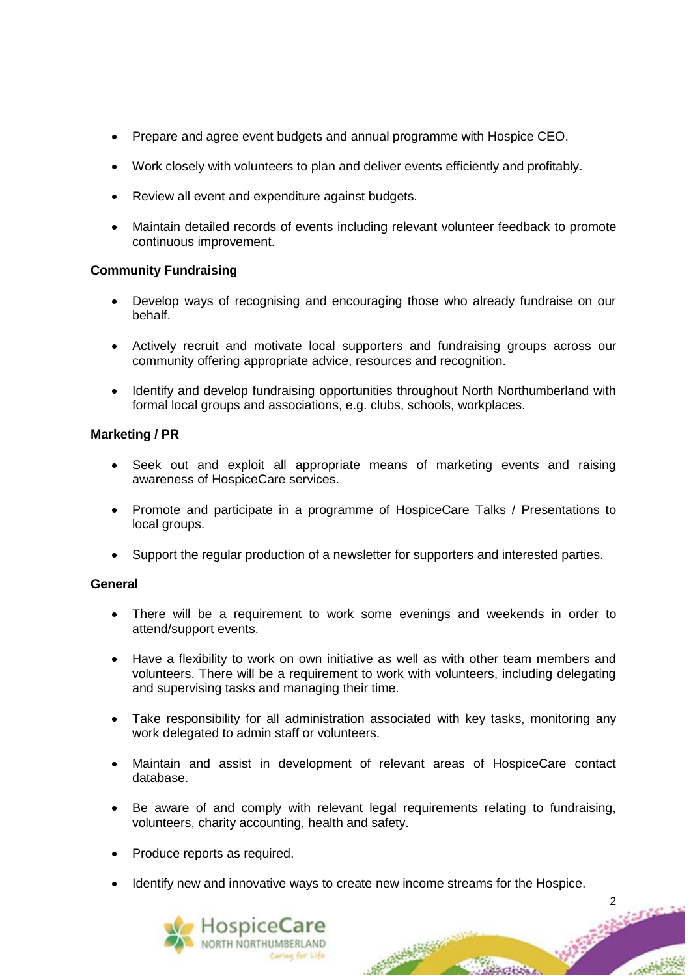- Prepare and agree event budgets and annual programme with Hospice CEO.
- Work closely with volunteers to plan and deliver events efficiently and profitably.
- Review all event and expenditure against budgets.
- Maintain detailed records of events including relevant volunteer feedback to promote continuous improvement.

# **Community Fundraising**

- Develop ways of recognising and encouraging those who already fundraise on our behalf.
- Actively recruit and motivate local supporters and fundraising groups across our community offering appropriate advice, resources and recognition.
- Identify and develop fundraising opportunities throughout North Northumberland with formal local groups and associations, e.g. clubs, schools, workplaces.

# **Marketing / PR**

- Seek out and exploit all appropriate means of marketing events and raising awareness of HospiceCare services.
- Promote and participate in a programme of HospiceCare Talks / Presentations to local groups.
- Support the regular production of a newsletter for supporters and interested parties.

### **General**

- There will be a requirement to work some evenings and weekends in order to attend/support events.
- Have a flexibility to work on own initiative as well as with other team members and volunteers. There will be a requirement to work with volunteers, including delegating and supervising tasks and managing their time.
- Take responsibility for all administration associated with key tasks, monitoring any work delegated to admin staff or volunteers.
- Maintain and assist in development of relevant areas of HospiceCare contact database.
- Be aware of and comply with relevant legal requirements relating to fundraising, volunteers, charity accounting, health and safety.
- Produce reports as required.
- Identify new and innovative ways to create new income streams for the Hospice.



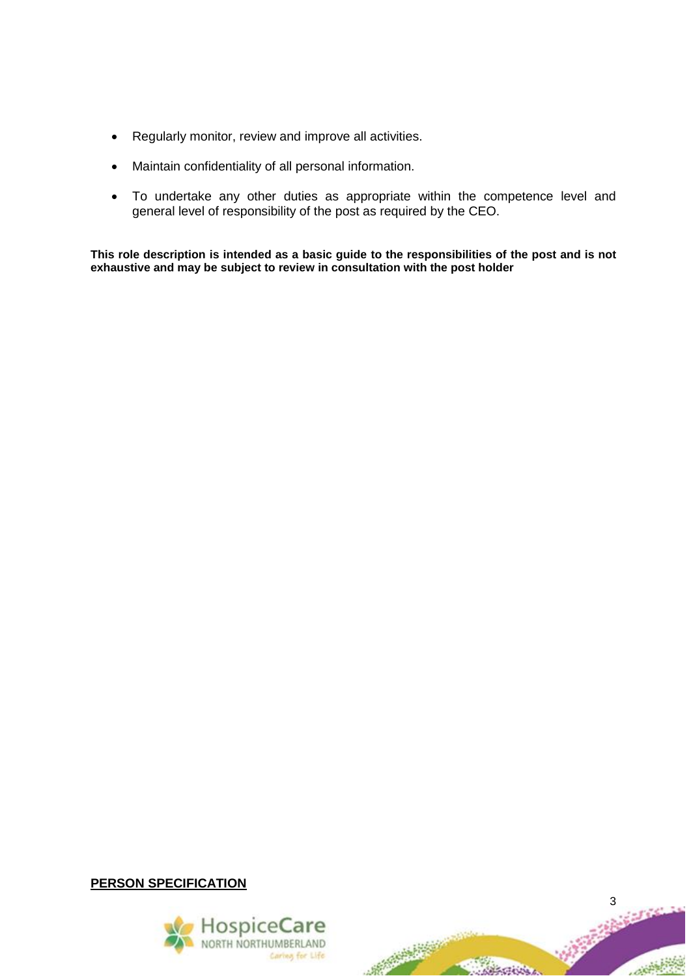- Regularly monitor, review and improve all activities.
- Maintain confidentiality of all personal information.
- To undertake any other duties as appropriate within the competence level and general level of responsibility of the post as required by the CEO.

**This role description is intended as a basic guide to the responsibilities of the post and is not exhaustive and may be subject to review in consultation with the post holder**

**PERSON SPECIFICATION**



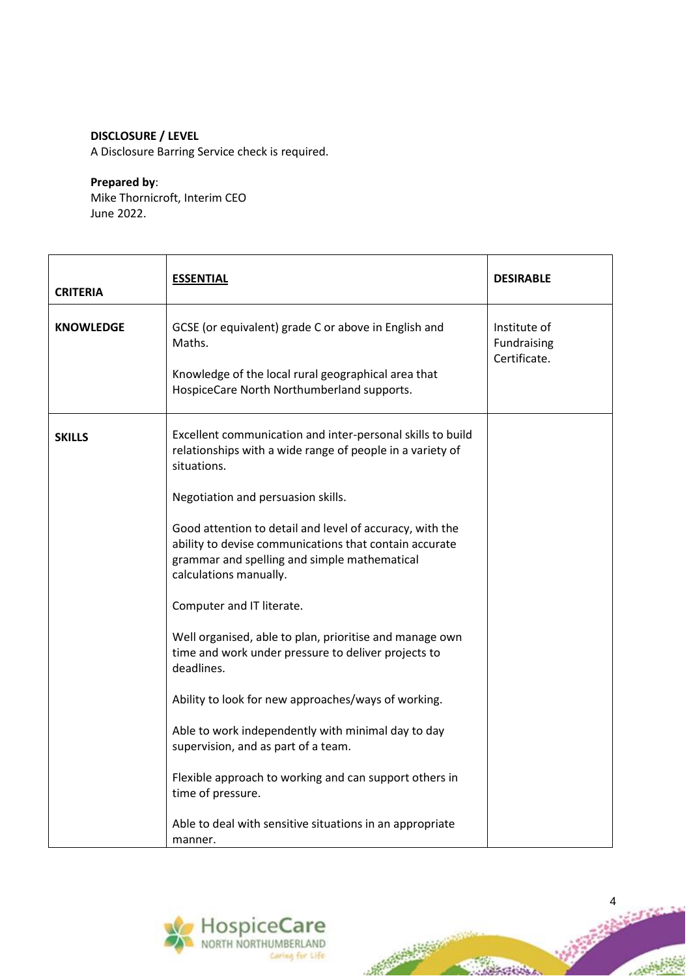# **DISCLOSURE / LEVEL**

A Disclosure Barring Service check is required.

#### **Prepared by**:

Mike Thornicroft, Interim CEO June 2022.

| <b>CRITERIA</b>  | <b>ESSENTIAL</b>                                                                                                                                                                             | <b>DESIRABLE</b>                            |
|------------------|----------------------------------------------------------------------------------------------------------------------------------------------------------------------------------------------|---------------------------------------------|
| <b>KNOWLEDGE</b> | GCSE (or equivalent) grade C or above in English and<br>Maths.<br>Knowledge of the local rural geographical area that<br>HospiceCare North Northumberland supports.                          | Institute of<br>Fundraising<br>Certificate. |
| <b>SKILLS</b>    | Excellent communication and inter-personal skills to build<br>relationships with a wide range of people in a variety of<br>situations.                                                       |                                             |
|                  | Negotiation and persuasion skills.                                                                                                                                                           |                                             |
|                  | Good attention to detail and level of accuracy, with the<br>ability to devise communications that contain accurate<br>grammar and spelling and simple mathematical<br>calculations manually. |                                             |
|                  | Computer and IT literate.                                                                                                                                                                    |                                             |
|                  | Well organised, able to plan, prioritise and manage own<br>time and work under pressure to deliver projects to<br>deadlines.                                                                 |                                             |
|                  | Ability to look for new approaches/ways of working.                                                                                                                                          |                                             |
|                  | Able to work independently with minimal day to day<br>supervision, and as part of a team.                                                                                                    |                                             |
|                  | Flexible approach to working and can support others in<br>time of pressure.                                                                                                                  |                                             |
|                  | Able to deal with sensitive situations in an appropriate<br>manner.                                                                                                                          |                                             |